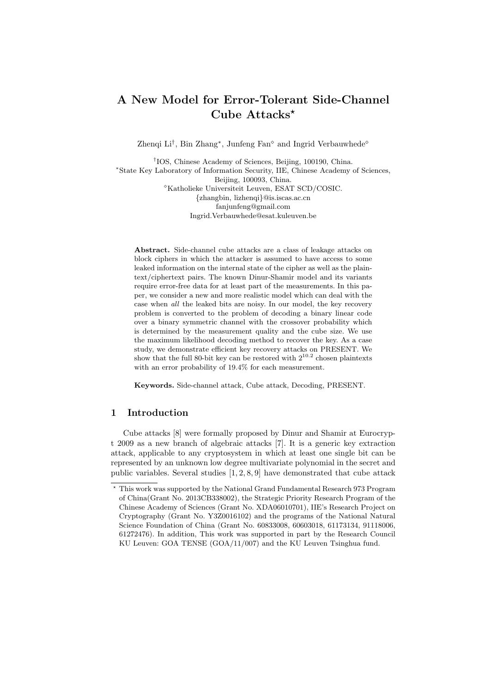# **A New Model for Error-Tolerant Side-Channel Cube Attacks***<sup>⋆</sup>*

Zhenqi Li*†* , Bin Zhang*<sup>∗</sup>* , Junfeng Fan*<sup>⋄</sup>* and Ingrid Verbauwhede*<sup>⋄</sup>*

*†* IOS, Chinese Academy of Sciences, Beijing, 100190, China. *<sup>∗</sup>*State Key Laboratory of Information Security, IIE, Chinese Academy of Sciences, Beijing, 100093, China. *<sup>⋄</sup>*Katholieke Universiteit Leuven, ESAT SCD/COSIC. *{*zhangbin, lizhenqi*}*@is.iscas.ac.cn fanjunfeng@gmail.com Ingrid.Verbauwhede@esat.kuleuven.be

**Abstract.** Side-channel cube attacks are a class of leakage attacks on block ciphers in which the attacker is assumed to have access to some leaked information on the internal state of the cipher as well as the plaintext/ciphertext pairs. The known Dinur-Shamir model and its variants require error-free data for at least part of the measurements. In this paper, we consider a new and more realistic model which can deal with the case when *all* the leaked bits are noisy. In our model, the key recovery problem is converted to the problem of decoding a binary linear code over a binary symmetric channel with the crossover probability which is determined by the measurement quality and the cube size. We use the maximum likelihood decoding method to recover the key. As a case study, we demonstrate efficient key recovery attacks on PRESENT. We show that the full 80-bit key can be restored with  $2^{10.2}$  chosen plaintexts with an error probability of 19*.*4% for each measurement.

**Keywords.** Side-channel attack, Cube attack, Decoding, PRESENT.

## **1 Introduction**

Cube attacks [8] were formally proposed by Dinur and Shamir at Eurocrypt 2009 as a new branch of algebraic attacks [7]. It is a generic key extraction attack, applicable to any cryptosystem in which at least one single bit can be represented by an unknown low degree multivariate polynomial in the secret and public variables. Several studies  $[1, 2, 8, 9]$  have demonstrated that cube attack

This work was supported by the National Grand Fundamental Research 973 Program of China(Grant No. 2013CB338002), the Strategic Priority Research Program of the Chinese Academy of Sciences (Grant No. XDA06010701), IIE's Research Project on Cryptography (Grant No. Y3Z0016102) and the programs of the National Natural Science Foundation of China (Grant No. 60833008, 60603018, 61173134, 91118006, 61272476). In addition, This work was supported in part by the Research Council KU Leuven: GOA TENSE (GOA/11/007) and the KU Leuven Tsinghua fund.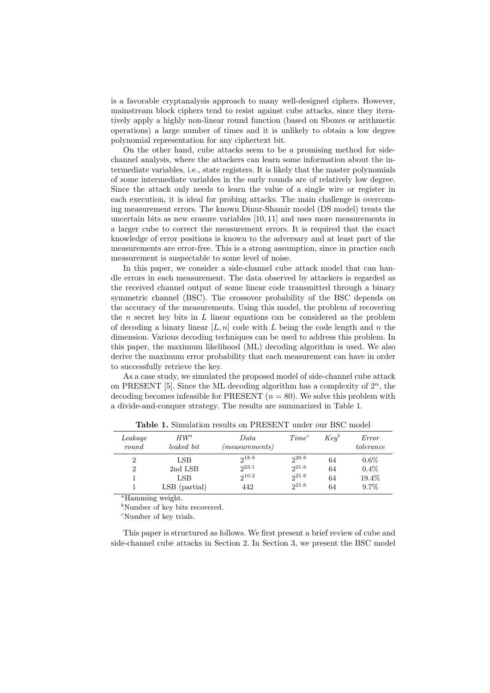is a favorable cryptanalysis approach to many well-designed ciphers. However, mainstream block ciphers tend to resist against cube attacks, since they iteratively apply a highly non-linear round function (based on Sboxes or arithmetic operations) a large number of times and it is unlikely to obtain a low degree polynomial representation for any ciphertext bit.

On the other hand, cube attacks seem to be a promising method for sidechannel analysis, where the attackers can learn some information about the intermediate variables, i.e., state registers. It is likely that the master polynomials of some intermediate variables in the early rounds are of relatively low degree. Since the attack only needs to learn the value of a single wire or register in each execution, it is ideal for probing attacks. The main challenge is overcoming measurement errors. The known Dinur-Shamir model (DS model) treats the uncertain bits as new erasure variables [10, 11] and uses more measurements in a larger cube to correct the measurement errors. It is required that the exact knowledge of error positions is known to the adversary and at least part of the measurements are error-free. This is a strong assumption, since in practice each measurement is suspectable to some level of noise.

In this paper, we consider a side-channel cube attack model that can handle errors in each measurement. The data observed by attackers is regarded as the received channel output of some linear code transmitted through a binary symmetric channel (BSC). The crossover probability of the BSC depends on the accuracy of the measurements. Using this model, the problem of recovering the *n* secret key bits in *L* linear equations can be considered as the problem of decoding a binary linear [*L, n*] code with *L* being the code length and *n* the dimension. Various decoding techniques can be used to address this problem. In this paper, the maximum likelihood (ML) decoding algorithm is used. We also derive the maximum error probability that each measurement can have in order to successfully retrieve the key.

As a case study, we simulated the proposed model of side-channel cube attack on PRESENT [5]. Since the ML decoding algorithm has a complexity of 2*<sup>n</sup>*, the decoding becomes infeasible for PRESENT  $(n = 80)$ . We solve this problem with a divide-and-conquer strategy. The results are summarized in Table 1.

| Leakage<br>round | $HW^a$<br>leaked bit | Data<br>( <i>measurements</i> ) | Time <sup>c</sup> | $Kev^b$ | Error<br>tolerance |
|------------------|----------------------|---------------------------------|-------------------|---------|--------------------|
|                  | $_{\rm{LSB}}$        | 218.9                           | $2^{20.6}$        | 64      | $0.6\%$            |
| 2                | 2nd LSB              | $2^{23.1}$                      | $2^{21.6}$        | 64      | $0.4\%$            |
|                  | LSB                  | $2^{10.2}$                      | $2^{21.6}$        | 64      | 19.4%              |
|                  | LSB (partial)        | 442                             | $2^{21.6}$        | 64      | $9.7\%$            |

**Table 1.** Simulation results on PRESENT under our BSC model

*<sup>a</sup>*Hamming weight.

<sup>*b*</sup>Number of key bits recovered.

<sup>c</sup>Number of key trials.

This paper is structured as follows. We first present a brief review of cube and side-channel cube attacks in Section 2. In Section 3, we present the BSC model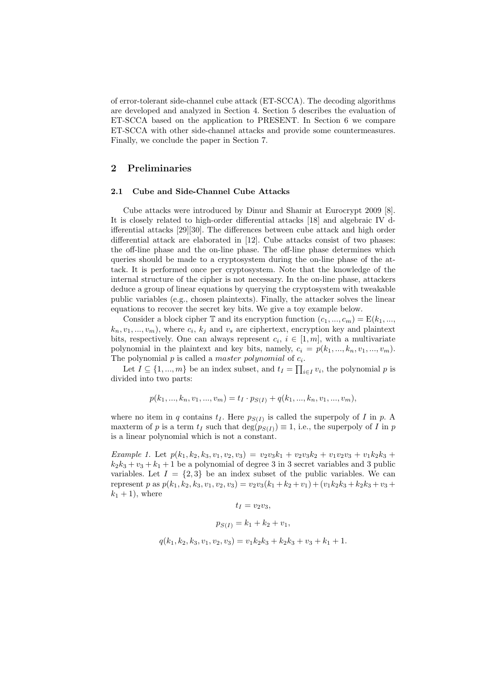of error-tolerant side-channel cube attack (ET-SCCA). The decoding algorithms are developed and analyzed in Section 4. Section 5 describes the evaluation of ET-SCCA based on the application to PRESENT. In Section 6 we compare ET-SCCA with other side-channel attacks and provide some countermeasures. Finally, we conclude the paper in Section 7.

## **2 Preliminaries**

#### **2.1 Cube and Side-Channel Cube Attacks**

Cube attacks were introduced by Dinur and Shamir at Eurocrypt 2009 [8]. It is closely related to high-order differential attacks [18] and algebraic IV differential attacks [29][30]. The differences between cube attack and high order differential attack are elaborated in [12]. Cube attacks consist of two phases: the off-line phase and the on-line phase. The off-line phase determines which queries should be made to a cryptosystem during the on-line phase of the attack. It is performed once per cryptosystem. Note that the knowledge of the internal structure of the cipher is not necessary. In the on-line phase, attackers deduce a group of linear equations by querying the cryptosystem with tweakable public variables (e.g., chosen plaintexts). Finally, the attacker solves the linear equations to recover the secret key bits. We give a toy example below.

Consider a block cipher  $\mathbb T$  and its encryption function  $(c_1, ..., c_m) = \mathbb E(k_1, ..., k_m)$  $(k_n, v_1, \ldots, v_m)$ , where  $c_i$ ,  $k_j$  and  $v_s$  are ciphertext, encryption key and plaintext bits, respectively. One can always represent  $c_i$ ,  $i \in [1, m]$ , with a multivariate polynomial in the plaintext and key bits, namely,  $c_i = p(k_1, ..., k_n, v_1, ..., v_m)$ . The polynomial *p* is called a *master polynomial* of *c<sup>i</sup>* .

Let  $I \subseteq \{1, ..., m\}$  be an index subset, and  $t_I = \prod_{i \in I} v_i$ , the polynomial *p* is divided into two parts:

$$
p(k_1, ..., k_n, v_1, ..., v_m) = t_I \cdot p_{S(I)} + q(k_1, ..., k_n, v_1, ..., v_m),
$$

where no item in *q* contains  $t_I$ . Here  $p_{S(I)}$  is called the superpoly of *I* in *p*. A maxterm of *p* is a term  $t_I$  such that  $\deg(p_{S(I)}) \equiv 1$ , i.e., the superpoly of *I* in *p* is a linear polynomial which is not a constant.

*Example 1.* Let  $p(k_1, k_2, k_3, v_1, v_2, v_3) = v_2v_3k_1 + v_2v_3k_2 + v_1v_2v_3 + v_1k_2k_3 +$  $k_2k_3 + v_3 + k_1 + 1$  be a polynomial of degree 3 in 3 secret variables and 3 public variables. Let  $I = \{2, 3\}$  be an index subset of the public variables. We can represent *p* as  $p(k_1, k_2, k_3, v_1, v_2, v_3) = v_2v_3(k_1 + k_2 + v_1) + (v_1k_2k_3 + k_2k_3 + v_3 + v_2)$  $k_1 + 1$ , where

$$
t_I = v_2 v_3,
$$
  
\n
$$
p_{S(I)} = k_1 + k_2 + v_1,
$$
  
\n
$$
q(k_1, k_2, k_3, v_1, v_2, v_3) = v_1 k_2 k_3 + k_2 k_3 + v_3 + k_1 + 1.
$$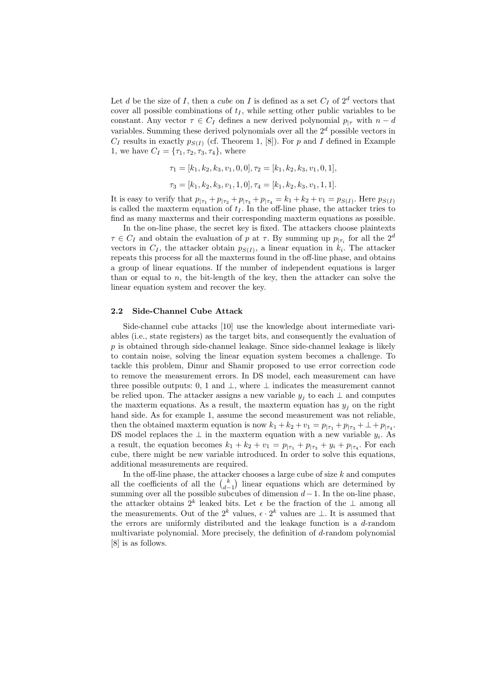Let *d* be the size of *I*, then a *cube* on *I* is defined as a set  $C_I$  of  $2^d$  vectors that cover all possible combinations of  $t_I$ , while setting other public variables to be constant. Any vector  $\tau \in C_I$  defines a new derived polynomial  $p_{|\tau}$  with  $n - d$ variables. Summing these derived polynomials over all the 2*<sup>d</sup>* possible vectors in  $C_I$  results in exactly  $p_{S(I)}$  (cf. Theorem 1, [8]). For *p* and *I* defined in Example 1, we have  $C_I = {\{\tau_1, \tau_2, \tau_3, \tau_4\}}$ , where

$$
\tau_1 = [k_1, k_2, k_3, v_1, 0, 0], \tau_2 = [k_1, k_2, k_3, v_1, 0, 1],
$$
  

$$
\tau_3 = [k_1, k_2, k_3, v_1, 1, 0], \tau_4 = [k_1, k_2, k_3, v_1, 1, 1].
$$

It is easy to verify that  $p_{|\tau_1} + p_{|\tau_2} + p_{|\tau_3} + p_{|\tau_4} = k_1 + k_2 + v_1 = p_{S(I)}$ . Here  $p_{S(I)}$ is called the maxterm equation of  $t_I$ . In the off-line phase, the attacker tries to find as many maxterms and their corresponding maxterm equations as possible.

In the on-line phase, the secret key is fixed. The attackers choose plaintexts  $\tau \in C_I$  and obtain the evaluation of *p* at  $\tau$ . By summing up  $p_{\vert \tau_i}$  for all the 2<sup>*d*</sup> vectors in  $C_I$ , the attacker obtain  $p_{S(I)}$ , a linear equation in  $k_i$ . The attacker repeats this process for all the maxterms found in the off-line phase, and obtains a group of linear equations. If the number of independent equations is larger than or equal to  $n$ , the bit-length of the key, then the attacker can solve the linear equation system and recover the key.

#### **2.2 Side-Channel Cube Attack**

Side-channel cube attacks [10] use the knowledge about intermediate variables (i.e., state registers) as the target bits, and consequently the evaluation of *p* is obtained through side-channel leakage. Since side-channel leakage is likely to contain noise, solving the linear equation system becomes a challenge. To tackle this problem, Dinur and Shamir proposed to use error correction code to remove the measurement errors. In DS model, each measurement can have three possible outputs: 0, 1 and *⊥*, where *⊥* indicates the measurement cannot be relied upon. The attacker assigns a new variable  $y_j$  to each  $\perp$  and computes the maxterm equations. As a result, the maxterm equation has  $y_j$  on the right hand side. As for example 1, assume the second measurement was not reliable, then the obtained maxterm equation is now  $k_1 + k_2 + v_1 = p_{|\tau_1} + p_{|\tau_2} + \dots + p_{|\tau_4}$ . DS model replaces the  $\perp$  in the maxterm equation with a new variable  $y_i$ . As a result, the equation becomes  $k_1 + k_2 + v_1 = p_{|\tau_1} + p_{|\tau_3} + y_i + p_{|\tau_4}$ . For each cube, there might be new variable introduced. In order to solve this equations, additional measurements are required.

In the off-line phase, the attacker chooses a large cube of size *k* and computes all the coefficients of all the  $\binom{k}{d-1}$  linear equations which are determined by summing over all the possible subcubes of dimension  $d-1$ . In the on-line phase, the attacker obtains  $2^k$  leaked bits. Let  $\epsilon$  be the fraction of the  $\bot$  among all the measurements. Out of the  $2^k$  values,  $\epsilon \cdot 2^k$  values are  $\bot$ . It is assumed that the errors are uniformly distributed and the leakage function is a *d*-random multivariate polynomial. More precisely, the definition of *d*-random polynomial [8] is as follows.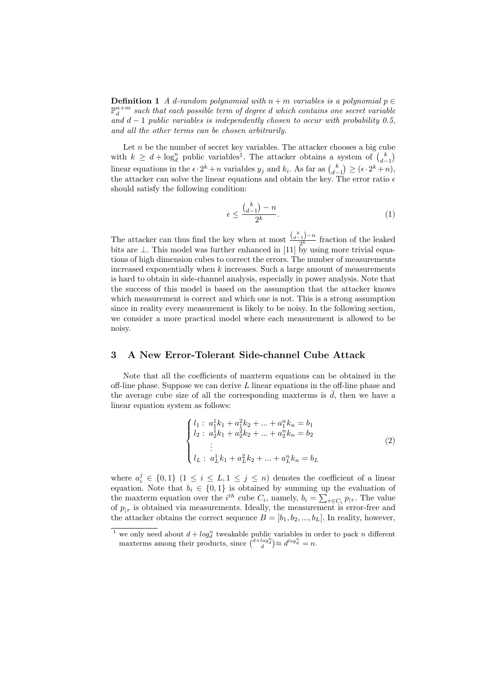**Definition 1** *A d*-random polynomial with  $n + m$  variables is a polynomial  $p \in$  $\mathbb{P}_d^{n+m}$  such that each possible term of degree  $d$  which contains one secret variable *and d −* 1 *public variables is independently chosen to occur with probability 0.5, and all the other terms can be chosen arbitrarily.*

Let  $n$  be the number of secret key variables. The attacker chooses a big cube with  $k \geq d + \log_d^n$  public variables<sup>1</sup>. The attacker obtains a system of  $\binom{k}{d-1}$ *d−*1 linear equations in the  $\epsilon \cdot 2^k + n$  variables  $y_j$  and  $k_i$ . As far as  $\binom{k}{d-1} \geq (\epsilon \cdot 2^k + n)$ , the attacker can solve the linear equations and obtain the key. The error ratio  $\epsilon$ should satisfy the following condition:

$$
\epsilon \le \frac{{k \choose d-1} - n}{2^k}.\tag{1}
$$

The attacker can thus find the key when at most  $\frac{\binom{k}{d-1}-n}{2^k}$  fraction of the leaked bits are *⊥*. This model was further enhanced in [11] by using more trivial equations of high dimension cubes to correct the errors. The number of measurements increased exponentially when *k* increases. Such a large amount of measurements is hard to obtain in side-channel analysis, especially in power analysis. Note that the success of this model is based on the assumption that the attacker knows which measurement is correct and which one is not. This is a strong assumption since in reality every measurement is likely to be noisy. In the following section, we consider a more practical model where each measurement is allowed to be noisy.

# **3 A New Error-Tolerant Side-channel Cube Attack**

Note that all the coefficients of maxterm equations can be obtained in the off-line phase. Suppose we can derive *L* linear equations in the off-line phase and the average cube size of all the corresponding maxterms is  $\overline{d}$ , then we have a linear equation system as follows:

$$
\begin{cases}\n l_1: \ a_1^1 k_1 + a_1^2 k_2 + \dots + a_1^n k_n = b_1 \\
l_2: \ a_2^1 k_1 + a_2^2 k_2 + \dots + a_2^n k_n = b_2 \\
\vdots \\
l_L: \ a_L^1 k_1 + a_L^2 k_2 + \dots + a_L^n k_n = b_L\n\end{cases} \tag{2}
$$

where  $a_i^j \in \{0,1\}$   $(1 \leq i \leq L, 1 \leq j \leq n)$  denotes the coefficient of a linear equation. Note that  $b_i \in \{0,1\}$  is obtained by summing up the evaluation of the maxterm equation over the *i*<sup>th</sup> cube  $C_i$ , namely,  $b_i = \sum_{\tau \in C_i} p_{|\tau}$ . The value of  $p_{|\tau}$  is obtained via measurements. Ideally, the measurement is error-free and the attacker obtains the correct sequence  $B = [b_1, b_2, ..., b_L]$ . In reality, however,

<sup>&</sup>lt;sup>1</sup> we only need about  $d + log_d^n$  tweakable public variables in order to pack *n* different maxterms among their products, since  $\begin{pmatrix} d + log_n^n \\ d \end{pmatrix} \approx d^{log}_d^n = n$ .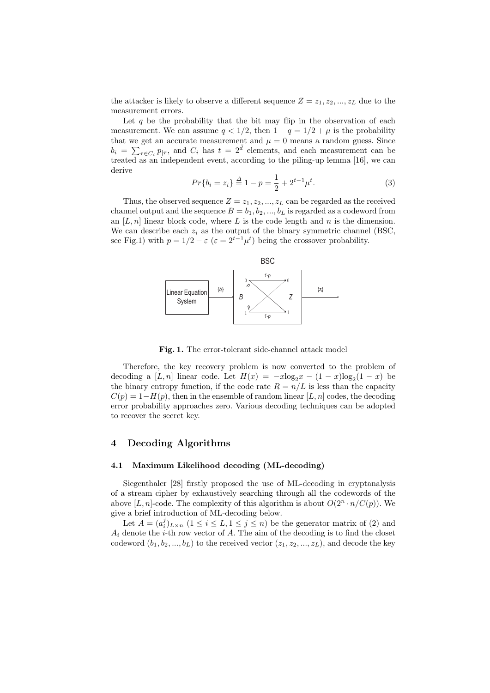the attacker is likely to observe a different sequence  $Z = z_1, z_2, ..., z_L$  due to the measurement errors.

Let  $q$  be the probability that the bit may flip in the observation of each measurement. We can assume  $q < 1/2$ , then  $1 - q = 1/2 + \mu$  is the probability that we get an accurate measurement and  $\mu = 0$  means a random guess. Since  $b_i = \sum_{\tau \in C_i}^{\infty} p_{|\tau}$ , and  $C_i$  has  $t = 2^{\bar{d}}$  elements, and each measurement can be treated as an independent event, according to the piling-up lemma  $[16]$ , we can derive

$$
Pr{b_i = z_i} \stackrel{\Delta}{=} 1 - p = \frac{1}{2} + 2^{t-1} \mu^t.
$$
 (3)

Thus, the observed sequence  $Z = z_1, z_2, ..., z_L$  can be regarded as the received channel output and the sequence  $B = b_1, b_2, ..., b_L$  is regarded as a codeword from an  $[L, n]$  linear block code, where  $L$  is the code length and  $n$  is the dimension. We can describe each  $z_i$  as the output of the binary symmetric channel (BSC, see Fig.1) with  $p = 1/2 - \varepsilon$  ( $\varepsilon = 2^{t-1} \mu^t$ ) being the crossover probability.



**Fig. 1.** The error-tolerant side-channel attack model

Therefore, the key recovery problem is now converted to the problem of decoding a  $[L, n]$  linear code. Let  $H(x) = -x \log_2 x - (1 - x) \log_2 (1 - x)$  be the binary entropy function, if the code rate  $R = n/L$  is less than the capacity  $C(p) = 1 - H(p)$ , then in the ensemble of random linear [*L, n*] codes, the decoding error probability approaches zero. Various decoding techniques can be adopted to recover the secret key.

## **4 Decoding Algorithms**

### **4.1 Maximum Likelihood decoding (ML-decoding)**

Siegenthaler [28] firstly proposed the use of ML-decoding in cryptanalysis of a stream cipher by exhaustively searching through all the codewords of the above [L, n]-code. The complexity of this algorithm is about  $O(2^n \cdot n/C(p))$ . We give a brief introduction of ML-decoding below.

Let  $A = (a_i^j)_{L \times n}$   $(1 \le i \le L, 1 \le j \le n)$  be the generator matrix of (2) and *A<sup>i</sup>* denote the *i*-th row vector of *A*. The aim of the decoding is to find the closet codeword  $(b_1, b_2, ..., b_L)$  to the received vector  $(z_1, z_2, ..., z_L)$ , and decode the key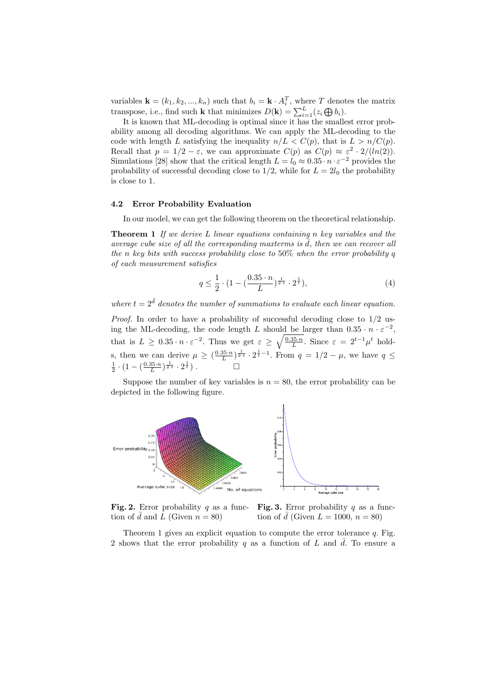variables  $\mathbf{k} = (k_1, k_2, ..., k_n)$  such that  $b_i = \mathbf{k} \cdot A_i^T$ , where *T* denotes the matrix transpose, i.e., find such **k** that minimizes  $D(\mathbf{k}) = \sum_{i=1}^{L} (z_i \bigoplus b_i)$ .

It is known that ML-decoding is optimal since it has the smallest error probability among all decoding algorithms. We can apply the ML-decoding to the code with length *L* satisfying the inequality  $n/L < C(p)$ , that is  $L > n/C(p)$ . Recall that  $p = 1/2 - \varepsilon$ , we can approximate  $C(p)$  as  $C(p) \approx \varepsilon^2 \cdot 2/(ln(2))$ . Simulations [28] show that the critical length  $L = l_0 \approx 0.35 \cdot n \cdot \varepsilon^{-2}$  provides the probability of successful decoding close to  $1/2$ , while for  $L = 2l_0$  the probability is close to 1.

## **4.2 Error Probability Evaluation**

In our model, we can get the following theorem on the theoretical relationship.

**Theorem 1** *If we derive L linear equations containing n key variables and the average cube size of all the corresponding maxterms is*  $\overline{d}$ *, then we can recover all the n key bits with success probability close to* 50% *when the error probability q of each measurement satisfies*

$$
q \le \frac{1}{2} \cdot \left(1 - \left(\frac{0.35 \cdot n}{L}\right)^{\frac{1}{2 \cdot t}} \cdot 2^{\frac{1}{t}}\right),\tag{4}
$$

where  $t = 2^{\bar{d}}$  denotes the number of summations to evaluate each linear equation.

*Proof.* In order to have a probability of successful decoding close to 1*/*2 using the ML-decoding, the code length *L* should be larger than  $0.35 \cdot n \cdot \varepsilon^{-2}$ , that is  $L \geq 0.35 \cdot n \cdot \varepsilon^{-2}$ . Thus we get  $\varepsilon \geq \sqrt{\frac{0.35 \cdot n}{L}}$ . Since  $\varepsilon = 2^{t-1} \mu^t$  holds, then we can derive  $\mu \ge (\frac{0.35 \cdot n}{L})^{\frac{1}{2 \cdot t}} \cdot 2^{\frac{1}{t} - 1}$ . From  $q = 1/2 - \mu$ , we have  $q \le$  $\frac{1}{2} \cdot (1 - (\frac{0.35 \cdot n}{L})^{\frac{1}{2 \cdot t}} \cdot 2^{\frac{1}{t}})$ .

Suppose the number of key variables is  $n = 80$ , the error probability can be depicted in the following figure.



**Fig. 2.** Error probability  $q$  as a func- **Fig. 3.** Error probability  $q$  as a function of  $\bar{d}$  and  $L$  (Given  $n = 80$ ) tion of  $\bar{d}$  (Given  $L = 1000, n = 80$ )

Theorem 1 gives an explicit equation to compute the error tolerance *q*. Fig. 2 shows that the error probability  $q$  as a function of  $L$  and  $\bar{d}$ . To ensure a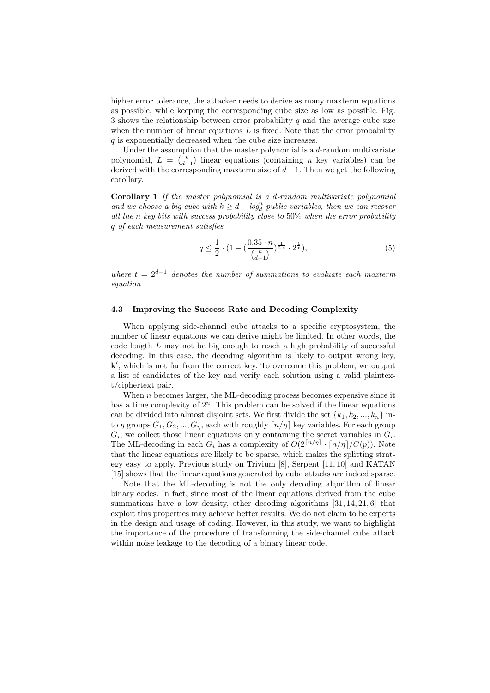higher error tolerance, the attacker needs to derive as many maxterm equations as possible, while keeping the corresponding cube size as low as possible. Fig. 3 shows the relationship between error probability *q* and the average cube size when the number of linear equations  $L$  is fixed. Note that the error probability *q* is exponentially decreased when the cube size increases.

Under the assumption that the master polynomial is a *d*-random multivariate polynomial,  $L = \begin{pmatrix} k \\ d-1 \end{pmatrix}$  linear equations (containing *n* key variables) can be derived with the corresponding maxterm size of *d−*1. Then we get the following corollary.

**Corollary 1** *If the master polynomial is a d-random multivariate polynomial and we choose a big cube with*  $k \geq d + log_d^n$  *public variables, then we can recover all the n key bits with success probability close to* 50% *when the error probability q of each measurement satisfies*

$$
q \le \frac{1}{2} \cdot \left(1 - \left(\frac{0.35 \cdot n}{\binom{k}{d-1}}\right)^{\frac{1}{2 \cdot t}} \cdot 2^{\frac{1}{t}}\right),\tag{5}
$$

*where*  $t = 2^{d-1}$  *denotes the number of summations to evaluate each maxterm equation.*

#### **4.3 Improving the Success Rate and Decoding Complexity**

When applying side-channel cube attacks to a specific cryptosystem, the number of linear equations we can derive might be limited. In other words, the code length *L* may not be big enough to reach a high probability of successful decoding. In this case, the decoding algorithm is likely to output wrong key, **k** *′* , which is not far from the correct key. To overcome this problem, we output a list of candidates of the key and verify each solution using a valid plaintext/ciphertext pair.

When *n* becomes larger, the ML-decoding process becomes expensive since it has a time complexity of  $2^n$ . This problem can be solved if the linear equations can be divided into almost disjoint sets. We first divide the set  $\{k_1, k_2, ..., k_n\}$  into  $\eta$  groups  $G_1, G_2, ..., G_\eta$ , each with roughly  $\lceil n/\eta \rceil$  key variables. For each group  $G_i$ , we collect those linear equations only containing the secret variables in  $G_i$ . The ML-decoding in each  $G_i$  has a complexity of  $O(2^{\lceil n/n \rceil} \cdot \lceil n/n \rceil / C(p))$ . Note that the linear equations are likely to be sparse, which makes the splitting strategy easy to apply. Previous study on Trivium [8], Serpent [11, 10] and KATAN [15] shows that the linear equations generated by cube attacks are indeed sparse.

Note that the ML-decoding is not the only decoding algorithm of linear binary codes. In fact, since most of the linear equations derived from the cube summations have a low density, other decoding algorithms [31, 14, 21, 6] that exploit this properties may achieve better results. We do not claim to be experts in the design and usage of coding. However, in this study, we want to highlight the importance of the procedure of transforming the side-channel cube attack within noise leakage to the decoding of a binary linear code.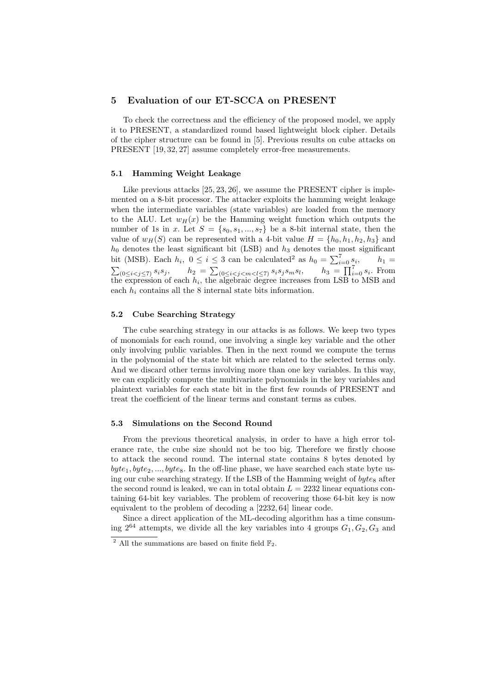## **5 Evaluation of our ET-SCCA on PRESENT**

To check the correctness and the efficiency of the proposed model, we apply it to PRESENT, a standardized round based lightweight block cipher. Details of the cipher structure can be found in [5]. Previous results on cube attacks on PRESENT [19, 32, 27] assume completely error-free measurements.

### **5.1 Hamming Weight Leakage**

Like previous attacks [25, 23, 26], we assume the PRESENT cipher is implemented on a 8-bit processor. The attacker exploits the hamming weight leakage when the intermediate variables (state variables) are loaded from the memory to the ALU. Let  $w_H(x)$  be the Hamming weight function which outputs the number of 1s in *x*. Let  $S = \{s_0, s_1, \ldots, s_7\}$  be a 8-bit internal state, then the value of  $w_H(S)$  can be represented with a 4-bit value  $H = \{h_0, h_1, h_2, h_3\}$  and  $h_0$  denotes the least significant bit (LSB) and  $h_3$  denotes the most significant bit (MSB). Each  $h_i$ ,  $0 \le i \le 3$  can be calculated<sup>2</sup> as  $h_0 = \sum_{i=0}^7 s_i$  $h_1 =$  $\sum_{0 \le i < j \le 7} s_i s_j$ ,  $h_2 = \sum_{0 \le i < j \le m < l \le 7} s_i s_j s_m s_l$ ,  $h_3 = \prod_{i=0}^{7} s_i$ . From the expression of each  $h_i$ , the algebraic degree increases from LSB to MSB and each *h<sup>i</sup>* contains all the 8 internal state bits information.

#### **5.2 Cube Searching Strategy**

The cube searching strategy in our attacks is as follows. We keep two types of monomials for each round, one involving a single key variable and the other only involving public variables. Then in the next round we compute the terms in the polynomial of the state bit which are related to the selected terms only. And we discard other terms involving more than one key variables. In this way, we can explicitly compute the multivariate polynomials in the key variables and plaintext variables for each state bit in the first few rounds of PRESENT and treat the coefficient of the linear terms and constant terms as cubes.

#### **5.3 Simulations on the Second Round**

From the previous theoretical analysis, in order to have a high error tolerance rate, the cube size should not be too big. Therefore we firstly choose to attack the second round. The internal state contains 8 bytes denoted by  $byte_1, byte_2, \ldots, byte_8$ . In the off-line phase, we have searched each state byte using our cube searching strategy. If the LSB of the Hamming weight of *byte*<sub>8</sub> after the second round is leaked, we can in total obtain  $L = 2232$  linear equations containing 64-bit key variables. The problem of recovering those 64-bit key is now equivalent to the problem of decoding a [2232*,* 64] linear code.

Since a direct application of the ML-decoding algorithm has a time consuming  $2^{64}$  attempts, we divide all the key variables into 4 groups  $G_1, G_2, G_3$  and

<sup>&</sup>lt;sup>2</sup> All the summations are based on finite field  $\mathbb{F}_2$ .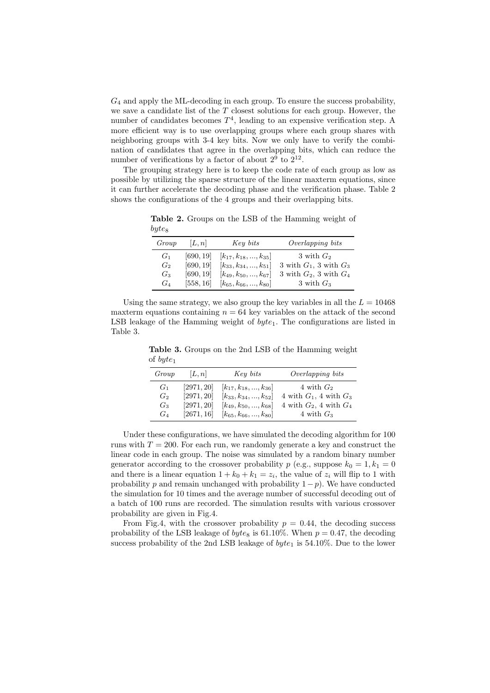*G*<sup>4</sup> and apply the ML-decoding in each group. To ensure the success probability, we save a candidate list of the *T* closest solutions for each group. However, the number of candidates becomes  $T<sup>4</sup>$ , leading to an expensive verification step. A more efficient way is to use overlapping groups where each group shares with neighboring groups with 3-4 key bits. Now we only have to verify the combination of candidates that agree in the overlapping bits, which can reduce the number of verifications by a factor of about  $2^9$  to  $2^{12}$ .

The grouping strategy here is to keep the code rate of each group as low as possible by utilizing the sparse structure of the linear maxterm equations, since it can further accelerate the decoding phase and the verification phase. Table 2 shows the configurations of the 4 groups and their overlapping bits.

**Table 2.** Groups on the LSB of the Hamming weight of *byte*<sup>8</sup>

| Group | L, n      | Key bits                     | Overlapping bits            |
|-------|-----------|------------------------------|-----------------------------|
| $G_1$ | [690, 19] | $[k_{17}, k_{18}, , k_{35}]$ | 3 with $G_2$                |
| $G_2$ | [690, 19] | $[k_{33}, k_{34}, , k_{51}]$ | 3 with $G_1$ , 3 with $G_3$ |
| $G_3$ | [690, 19] | $[k_{49}, k_{50}, , k_{67}]$ | 3 with $G_2$ , 3 with $G_4$ |
| $G_4$ | [558, 16] | $[k_{65}, k_{66}, , k_{80}]$ | 3 with $G_3$                |

Using the same strategy, we also group the key variables in all the  $L = 10468$ maxterm equations containing  $n = 64$  key variables on the attack of the second LSB leakage of the Hamming weight of *byte*1. The configurations are listed in Table 3.

**Table 3.** Groups on the 2nd LSB of the Hamming weight of *byte*<sup>1</sup>

| Group          | L, n                   | Key bits                     | Overlapping bits            |
|----------------|------------------------|------------------------------|-----------------------------|
| G <sub>1</sub> | $\left[2971,20\right]$ | $[k_{17}, k_{18}, , k_{36}]$ | 4 with $G_2$                |
| $G_2$          | [2971, 20]             | $[k_{33}, k_{34}, , k_{52}]$ | 4 with $G_1$ , 4 with $G_3$ |
| $G_3$          | [2971, 20]             | $[k_{49}, k_{50}, , k_{68}]$ | 4 with $G_2$ , 4 with $G_4$ |
| $G_4$          | [2671, 16]             | $[k_{65}, k_{66}, , k_{80}]$ | 4 with $G_3$                |

Under these configurations, we have simulated the decoding algorithm for 100 runs with  $T = 200$ . For each run, we randomly generate a key and construct the linear code in each group. The noise was simulated by a random binary number generator according to the crossover probability  $p$  (e.g., suppose  $k_0 = 1, k_1 = 0$ and there is a linear equation  $1 + k_0 + k_1 = z_i$ , the value of  $z_i$  will flip to 1 with probability *p* and remain unchanged with probability  $1 - p$ ). We have conducted the simulation for 10 times and the average number of successful decoding out of a batch of 100 runs are recorded. The simulation results with various crossover probability are given in Fig.4.

From Fig.4, with the crossover probability  $p = 0.44$ , the decoding success probability of the LSB leakage of  $byte_8$  is 61.10%. When  $p = 0.47$ , the decoding success probability of the 2nd LSB leakage of *byte*<sup>1</sup> is 54*.*10%. Due to the lower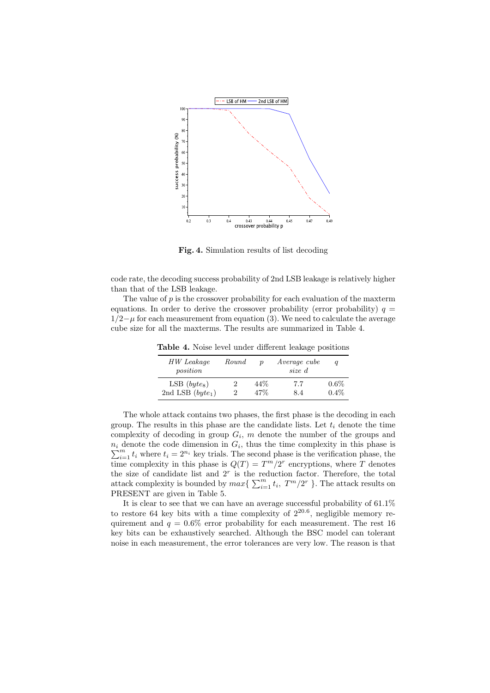

**Fig. 4.** Simulation results of list decoding

code rate, the decoding success probability of 2nd LSB leakage is relatively higher than that of the LSB leakage.

The value of *p* is the crossover probability for each evaluation of the maxterm equations. In order to derive the crossover probability (error probability)  $q =$  $1/2$ − $\mu$  for each measurement from equation (3). We need to calculate the average cube size for all the maxterms. The results are summarized in Table 4.

| HW Leakage<br>position     | Round | $\boldsymbol{n}$ | Average cube<br>size d |         |
|----------------------------|-------|------------------|------------------------|---------|
| $LSB$ (byte <sub>8</sub> ) |       | 44%              | 7.7                    | $0.6\%$ |
| 2nd LSB $(byte1)$          |       | 47%              | 8.4                    | $0.4\%$ |

**Table 4.** Noise level under different leakage positions

The whole attack contains two phases, the first phase is the decoding in each group. The results in this phase are the candidate lists. Let  $t_i$  denote the time complexity of decoding in group  $G_i$ ,  $m$  denote the number of the groups and  $n_i$  denote the code dimension in  $G_i$ , thus the time complexity in this phase is  $\sum_{i=1}^{m} t_i$  where  $t_i = 2^{n_i}$  key trials. The second phase is the verification phase, the time complexity in this phase is  $Q(T) = T^m/2^r$  encryptions, where *T* denotes the size of candidate list and  $2<sup>r</sup>$  is the reduction factor. Therefore, the total attack complexity is bounded by  $max\{\sum_{i=1}^{m} t_i, T^m/2^r\}$ . The attack results on PRESENT are given in Table 5.

It is clear to see that we can have an average successful probability of 61*.*1% to restore 64 key bits with a time complexity of  $2^{20.6}$ , negligible memory requirement and  $q = 0.6\%$  error probability for each measurement. The rest 16 key bits can be exhaustively searched. Although the BSC model can tolerant noise in each measurement, the error tolerances are very low. The reason is that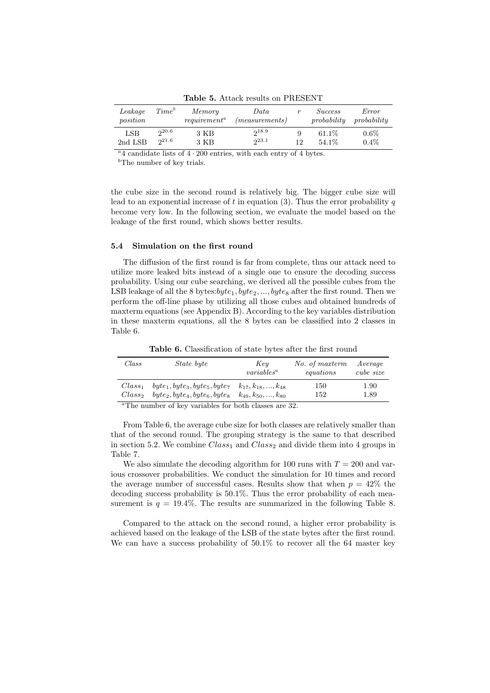| Leakage<br>position | Time <sup>b</sup> | Memory<br>requirement <sup>a</sup> | Data<br>(measurements) | r  | <i>Success</i><br>probability | Error<br>probability |
|---------------------|-------------------|------------------------------------|------------------------|----|-------------------------------|----------------------|
| LSB                 | 20.6              | 3 KB                               | 218.9                  | 9  | $61.1\%$                      | $0.6\%$              |
| 2nd LSB             | $2^{21.6}$        | 3 KB                               | $2^{23.1}$             | 12 | 54.1\%                        | $0.4\%$              |

**Table 5.** Attack results on PRESENT

<sup>a</sup> 4 candidate lists of  $4 \cdot 200$  entries, with each entry of 4 bytes.

<sup>*b*The number of key trials.</sup>

the cube size in the second round is relatively big. The bigger cube size will lead to an exponential increase of *t* in equation (3). Thus the error probability *q* become very low. In the following section, we evaluate the model based on the leakage of the first round, which shows better results.

#### **5.4 Simulation on the first round**

The diffusion of the first round is far from complete, thus our attack need to utilize more leaked bits instead of a single one to ensure the decoding success probability. Using our cube searching, we derived all the possible cubes from the LSB leakage of all the 8 bytes:*byte*<sub>1</sub>*, byte*<sub>2</sub>*, ..., byte*<sub>8</sub> after the first round. Then we perform the off-line phase by utilizing all those cubes and obtained hundreds of maxterm equations (see Appendix B). According to the key variables distribution in these maxterm equations, all the 8 bytes can be classified into 2 classes in Table 6.

| $\mathit{Class}$ | <i>State</i> byte                                                | Keu<br>variables <sup>a</sup> | No. of maxterm<br>equations | Average<br>cube size |
|------------------|------------------------------------------------------------------|-------------------------------|-----------------------------|----------------------|
| $Class_1$        | $byte_1, byte_3, byte_5, byte_7$                                 | $k_{17}, k_{18}, , k_{48}$    | 150                         | 1.90                 |
| $Class_2$        | $byte_2, byte_4, byte_6, byte_8$                                 | $k_{49}, k_{50}, , k_{80}$    | 152                         | 1.89                 |
|                  | <sup>a</sup> The number of key variables for both classes are 32 |                               |                             |                      |

**Table 6.** Classification of state bytes after the first round

The number of key variables for both classes are 32.

From Table 6, the average cube size for both classes are relatively smaller than that of the second round. The grouping strategy is the same to that described in section 5.2. We combine  $Class_1$  and  $Class_2$  and divide them into 4 groups in Table 7.

We also simulate the decoding algorithm for 100 runs with  $T = 200$  and various crossover probabilities. We conduct the simulation for 10 times and record the average number of successful cases. Results show that when  $p = 42\%$  the decoding success probability is 50*.*1%. Thus the error probability of each measurement is  $q = 19.4\%$ . The results are summarized in the following Table 8.

Compared to the attack on the second round, a higher error probability is achieved based on the leakage of the LSB of the state bytes after the first round. We can have a success probability of 50*.*1% to recover all the 64 master key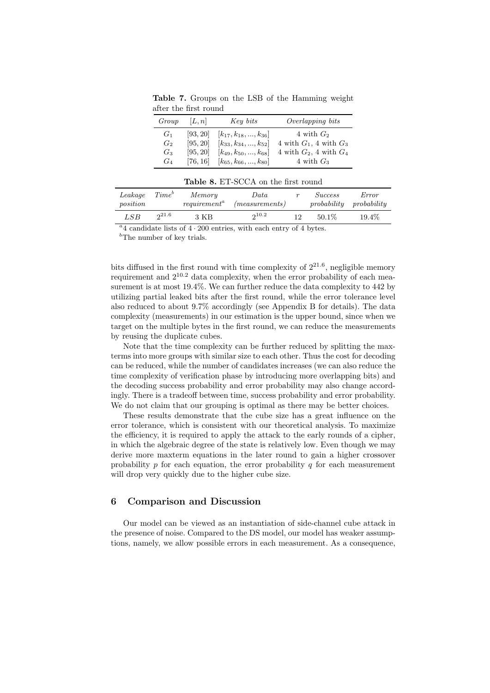**Table 7.** Groups on the LSB of the Hamming weight after the first round

| Group | [L, n]   | Key bits                     | Overlapping bits            |
|-------|----------|------------------------------|-----------------------------|
| $G_1$ | [93, 20] | $[k_{17}, k_{18}, , k_{36}]$ | 4 with $G_2$                |
| $G_2$ | [95, 20] | $[k_{33}, k_{34}, , k_{52}]$ | 4 with $G_1$ , 4 with $G_3$ |
| $G_3$ | [95, 20] | $[k_{49}, k_{50}, , k_{68}]$ | 4 with $G_2$ , 4 with $G_4$ |
| $G_4$ | [76, 16] | $[k_{65}, k_{66}, , k_{80}]$ | 4 with $G_3$                |

**Table 8.** ET-SCCA on the first round

| Leakage<br>position | $Time^b$   | Memory<br>requirement <sup>a</sup> | Data<br>(measurements)                                                    | $\boldsymbol{r}$ | <i>Success</i><br>probability | Error<br>probability |
|---------------------|------------|------------------------------------|---------------------------------------------------------------------------|------------------|-------------------------------|----------------------|
| LSB                 | $2^{21.6}$ | 3 KB                               | $2^{10.2}$                                                                | 12               | 50.1\%                        | $19.4\%$             |
|                     |            |                                    | $4$ candidate lists of $4 \cdot 200$ entries, with each entry of 4 bytes. |                  |                               |                      |

<sup>b</sup>The number of key trials.

bits diffused in the first round with time complexity of  $2^{21.6}$ , negligible memory requirement and  $2^{10.2}$  data complexity, when the error probability of each measurement is at most 19*.*4%. We can further reduce the data complexity to 442 by utilizing partial leaked bits after the first round, while the error tolerance level also reduced to about 9*.*7% accordingly (see Appendix B for details). The data complexity (measurements) in our estimation is the upper bound, since when we target on the multiple bytes in the first round, we can reduce the measurements by reusing the duplicate cubes.

Note that the time complexity can be further reduced by splitting the maxterms into more groups with similar size to each other. Thus the cost for decoding can be reduced, while the number of candidates increases (we can also reduce the time complexity of verification phase by introducing more overlapping bits) and the decoding success probability and error probability may also change accordingly. There is a tradeoff between time, success probability and error probability. We do not claim that our grouping is optimal as there may be better choices.

These results demonstrate that the cube size has a great influence on the error tolerance, which is consistent with our theoretical analysis. To maximize the efficiency, it is required to apply the attack to the early rounds of a cipher, in which the algebraic degree of the state is relatively low. Even though we may derive more maxterm equations in the later round to gain a higher crossover probability *p* for each equation, the error probability *q* for each measurement will drop very quickly due to the higher cube size.

## **6 Comparison and Discussion**

Our model can be viewed as an instantiation of side-channel cube attack in the presence of noise. Compared to the DS model, our model has weaker assumptions, namely, we allow possible errors in each measurement. As a consequence,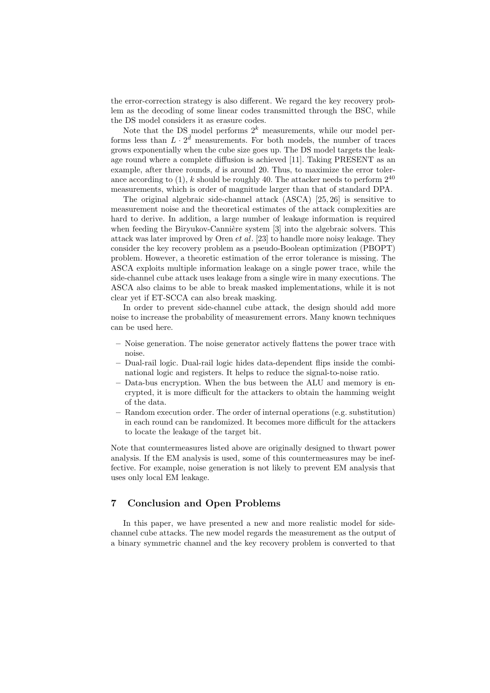the error-correction strategy is also different. We regard the key recovery problem as the decoding of some linear codes transmitted through the BSC, while the DS model considers it as erasure codes.

Note that the DS model performs  $2^k$  measurements, while our model performs less than  $L \cdot 2^{\bar{d}}$  measurements. For both models, the number of traces grows exponentially when the cube size goes up. The DS model targets the leakage round where a complete diffusion is achieved [11]. Taking PRESENT as an example, after three rounds, *d* is around 20. Thus, to maximize the error tolerance according to  $(1)$ , k should be roughly 40. The attacker needs to perform  $2^{40}$ measurements, which is order of magnitude larger than that of standard DPA.

The original algebraic side-channel attack (ASCA) [25, 26] is sensitive to measurement noise and the theoretical estimates of the attack complexities are hard to derive. In addition, a large number of leakage information is required when feeding the Biryukov-Cannière system [3] into the algebraic solvers. This attack was later improved by Oren *et al.* [23] to handle more noisy leakage. They consider the key recovery problem as a pseudo-Boolean optimization (PBOPT) problem. However, a theoretic estimation of the error tolerance is missing. The ASCA exploits multiple information leakage on a single power trace, while the side-channel cube attack uses leakage from a single wire in many executions. The ASCA also claims to be able to break masked implementations, while it is not clear yet if ET-SCCA can also break masking.

In order to prevent side-channel cube attack, the design should add more noise to increase the probability of measurement errors. Many known techniques can be used here.

- **–** Noise generation. The noise generator actively flattens the power trace with noise.
- **–** Dual-rail logic. Dual-rail logic hides data-dependent flips inside the combinational logic and registers. It helps to reduce the signal-to-noise ratio.
- **–** Data-bus encryption. When the bus between the ALU and memory is encrypted, it is more difficult for the attackers to obtain the hamming weight of the data.
- **–** Random execution order. The order of internal operations (e.g. substitution) in each round can be randomized. It becomes more difficult for the attackers to locate the leakage of the target bit.

Note that countermeasures listed above are originally designed to thwart power analysis. If the EM analysis is used, some of this countermeasures may be ineffective. For example, noise generation is not likely to prevent EM analysis that uses only local EM leakage.

## **7 Conclusion and Open Problems**

In this paper, we have presented a new and more realistic model for sidechannel cube attacks. The new model regards the measurement as the output of a binary symmetric channel and the key recovery problem is converted to that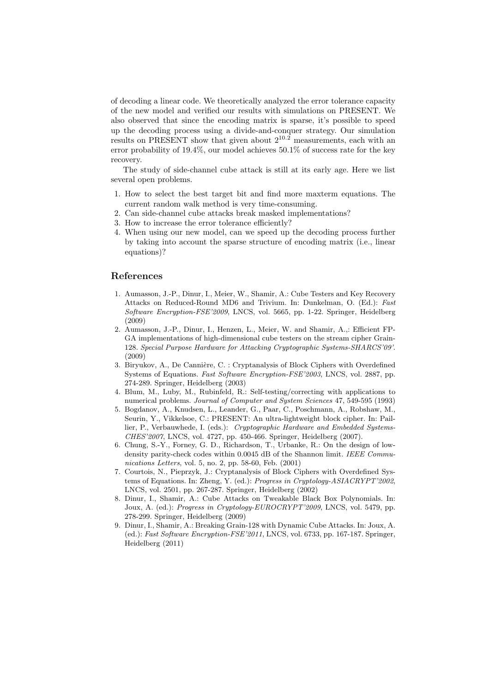of decoding a linear code. We theoretically analyzed the error tolerance capacity of the new model and verified our results with simulations on PRESENT. We also observed that since the encoding matrix is sparse, it's possible to speed up the decoding process using a divide-and-conquer strategy. Our simulation results on PRESENT show that given about 2<sup>10</sup>*.*<sup>2</sup> measurements, each with an error probability of 19*.*4%, our model achieves 50*.*1% of success rate for the key recovery.

The study of side-channel cube attack is still at its early age. Here we list several open problems.

- 1. How to select the best target bit and find more maxterm equations. The current random walk method is very time-consuming.
- 2. Can side-channel cube attacks break masked implementations?
- 3. How to increase the error tolerance efficiently?
- 4. When using our new model, can we speed up the decoding process further by taking into account the sparse structure of encoding matrix (i.e., linear equations)?

## **References**

- 1. Aumasson, J.-P., Dinur, I., Meier, W., Shamir, A.: Cube Testers and Key Recovery Attacks on Reduced-Round MD6 and Trivium. In: Dunkelman, O. (Ed.): *Fast Software Encryption-FSE'2009*, LNCS, vol. 5665, pp. 1-22. Springer, Heidelberg (2009)
- 2. Aumasson, J.-P., Dinur, I., Henzen, L., Meier, W. and Shamir, A.,: Efficient FP-GA implementations of high-dimensional cube testers on the stream cipher Grain-128. *Special Purpose Hardware for Attacking Cryptographic Systems-SHARCS'09'*. (2009)
- 3. Biryukov, A., De Canni`*e*re, C. : Cryptanalysis of Block Ciphers with Overdefined Systems of Equations. *Fast Software Encryption-FSE'2003*, LNCS, vol. 2887, pp. 274-289. Springer, Heidelberg (2003)
- 4. Blum, M., Luby, M., Rubinfeld, R.: Self-testing/correcting with applications to numerical problems. *Journal of Computer and System Sciences* 47, 549-595 (1993)
- 5. Bogdanov, A., Knudsen, L., Leander, G., Paar, C., Poschmann, A., Robshaw, M., Seurin, Y., Vikkelsoe, C.: PRESENT: An ultra-lightweight block cipher. In: Paillier, P., Verbauwhede, I. (eds.): *Cryptographic Hardware and Embedded Systems-CHES'2007*, LNCS, vol. 4727, pp. 450-466. Springer, Heidelberg (2007).
- 6. Chung, S.-Y., Forney, G. D., Richardson, T., Urbanke, R.: On the design of lowdensity parity-check codes within 0.0045 dB of the Shannon limit. *IEEE Communications Letters*, vol. 5, no. 2, pp. 58-60, Feb. (2001)
- 7. Courtois, N., Pieprzyk, J.: Cryptanalysis of Block Ciphers with Overdefined Systems of Equations. In: Zheng, Y. (ed.): *Progress in Cryptology-ASIACRYPT'2002*, LNCS, vol. 2501, pp. 267-287. Springer, Heidelberg (2002)
- 8. Dinur, I., Shamir, A.: Cube Attacks on Tweakable Black Box Polynomials. In: Joux, A. (ed.): *Progress in Cryptology-EUROCRYPT'2009*, LNCS, vol. 5479, pp. 278-299. Springer, Heidelberg (2009)
- 9. Dinur, I., Shamir, A.: Breaking Grain-128 with Dynamic Cube Attacks. In: Joux, A. (ed.): *Fast Software Encryption-FSE'2011*, LNCS, vol. 6733, pp. 167-187. Springer, Heidelberg (2011)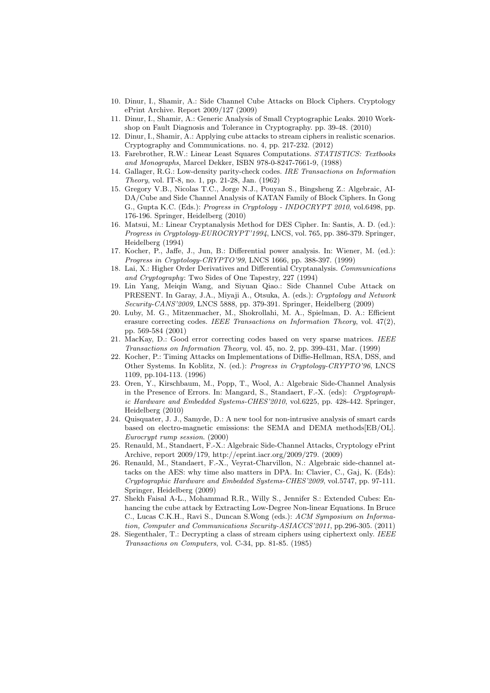- 10. Dinur, I., Shamir, A.: Side Channel Cube Attacks on Block Ciphers. Cryptology ePrint Archive. Report 2009/127 (2009)
- 11. Dinur, I., Shamir, A.: Generic Analysis of Small Cryptographic Leaks. 2010 Workshop on Fault Diagnosis and Tolerance in Cryptography. pp. 39-48. (2010)
- 12. Dinur, I., Shamir, A.: Applying cube attacks to stream ciphers in realistic scenarios. Cryptography and Communications. no. 4, pp. 217-232. (2012)
- 13. Farebrother, R.W.: Linear Least Squares Computations. *STATISTICS: Textbooks and Monographs*, Marcel Dekker, ISBN 978-0-8247-7661-9, (1988)
- 14. Gallager, R.G.: Low-density parity-check codes. *IRE Transactions on Information Theory*, vol. IT-8, no. 1, pp. 21-28, Jan. (1962)
- 15. Gregory V.B., Nicolas T.C., Jorge N.J., Pouyan S., Bingsheng Z.: Algebraic, AI-DA/Cube and Side Channel Analysis of KATAN Family of Block Ciphers. In Gong G., Gupta K.C. (Eds.): *Progress in Cryptology - INDOCRYPT 2010*, vol.6498, pp. 176-196. Springer, Heidelberg (2010)
- 16. Matsui, M.: Linear Cryptanalysis Method for DES Cipher. In: Santis, A. D. (ed.): *Progress in Cryptology-EUROCRYPT'1994*, LNCS, vol. 765, pp. 386-379. Springer, Heidelberg (1994)
- 17. Kocher, P., Jaffe, J., Jun, B.: Differential power analysis. In: Wiener, M. (ed.): *Progress in Cryptology-CRYPTO'99*, LNCS 1666, pp. 388-397. (1999)
- 18. Lai, X.: Higher Order Derivatives and Differential Cryptanalysis. *Communications and Cryptography*: Two Sides of One Tapestry, 227 (1994)
- 19. Lin Yang, Meiqin Wang, and Siyuan Qiao.: Side Channel Cube Attack on PRESENT. In Garay, J.A., Miyaji A., Otsuka, A. (eds.): *Cryptology and Network Security-CANS'2009*, LNCS 5888, pp. 379-391. Springer, Heidelberg (2009)
- 20. Luby, M. G., Mitzenmacher, M., Shokrollahi, M. A., Spielman, D. A.: Efficient erasure correcting codes. *IEEE Transactions on Information Theory*, vol. 47(2), pp. 569-584 (2001)
- 21. MacKay, D.: Good error correcting codes based on very sparse matrices. *IEEE Transactions on Information Theory*, vol. 45, no. 2, pp. 399-431, Mar. (1999)
- 22. Kocher, P.: Timing Attacks on Implementations of Diffie-Hellman, RSA, DSS, and Other Systems. In Koblitz, N. (ed.): *Progress in Cryptology-CRYPTO'96*, LNCS 1109, pp.104-113. (1996)
- 23. Oren, Y., Kirschbaum, M., Popp, T., Wool, A.: Algebraic Side-Channel Analysis in the Presence of Errors. In: Mangard, S., Standaert, F.-X. (eds): *Cryptographic Hardware and Embedded Systems-CHES'2010*, vol.6225, pp. 428-442. Springer, Heidelberg (2010)
- 24. Quisquater, J. J., Samyde, D.: A new tool for non-intrusive analysis of smart cards based on electro-magnetic emissions: the SEMA and DEMA methods[EB/OL]. *Eurocrypt rump session*. (2000)
- 25. Renauld, M., Standaert, F.-X.: Algebraic Side-Channel Attacks, Cryptology ePrint Archive, report 2009/179, http://eprint.iacr.org/2009/279. (2009)
- 26. Renauld, M., Standaert, F.-X., Veyrat-Charvillon, N.: Algebraic side-channel attacks on the AES: why time also matters in DPA. In: Clavier, C., Gaj, K. (Eds): *Cryptographic Hardware and Embedded Systems-CHES'2009*, vol.5747, pp. 97-111. Springer, Heidelberg (2009)
- 27. Shekh Faisal A-L., Mohammad R.R., Willy S., Jennifer S.: Extended Cubes: Enhancing the cube attack by Extracting Low-Degree Non-linear Equations. In Bruce C., Lucas C.K.H., Ravi S., Duncan S.Wong (eds.): *ACM Symposium on Information, Computer and Communications Security-ASIACCS'2011*, pp.296-305. (2011)
- 28. Siegenthaler, T.: Decrypting a class of stream ciphers using ciphertext only. *IEEE Transactions on Computers*, vol. C-34, pp. 81-85. (1985)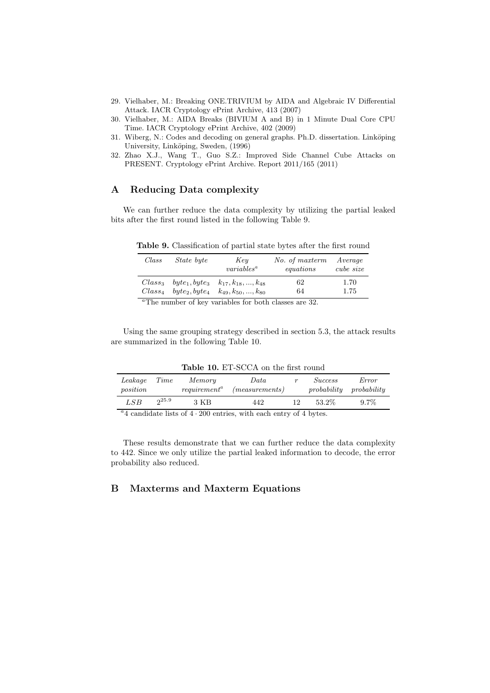- 29. Vielhaber, M.: Breaking ONE.TRIVIUM by AIDA and Algebraic IV Differential Attack. IACR Cryptology ePrint Archive, 413 (2007)
- 30. Vielhaber, M.: AIDA Breaks (BIVIUM A and B) in 1 Minute Dual Core CPU Time. IACR Cryptology ePrint Archive, 402 (2009)
- 31. Wiberg, N.: Codes and decoding on general graphs. Ph.D. dissertation. Linköping University, Link¨*o*ping, Sweden, (1996)
- 32. Zhao X.J., Wang T., Guo S.Z.: Improved Side Channel Cube Attacks on PRESENT. Cryptology ePrint Archive. Report 2011/165 (2011)

## **A Reducing Data complexity**

We can further reduce the data complexity by utilizing the partial leaked bits after the first round listed in the following Table 9.

**Table 9.** Classification of partial state bytes after the first round

| Class              | <i>State</i> byte | Key<br>variables <sup>a</sup>                   | No. of maxterm<br>equations | Average<br>cube size |
|--------------------|-------------------|-------------------------------------------------|-----------------------------|----------------------|
| $Class_{3}$        |                   | $byte_1, byte_3 \quad k_{17}, k_{18}, , k_{48}$ | 62                          | 1.70                 |
| Class <sub>4</sub> | $byte_2, byte_4$  | $k_{49}, k_{50}, , k_{80}$                      | 64                          | 1.75                 |
|                    |                   |                                                 |                             |                      |

The number of key variables for both classes are 32.

Using the same grouping strategy described in section 5.3, the attack results are summarized in the following Table 10.

|                     |            |                                    | TUDIO TOI DI DOOTI ON THO MD TOURS |     |                               |                      |
|---------------------|------------|------------------------------------|------------------------------------|-----|-------------------------------|----------------------|
| Leakage<br>position | Time       | Memory<br>requirement <sup>a</sup> | Data<br>(measurements)             |     | <i>Success</i><br>probability | Error<br>probability |
| LSB                 | $2^{25.9}$ | 3 KB                               | 442                                | 19. | 53.2\%                        | $9.7\%$              |
| $\alpha$            |            | 0.1000                             |                                    |     |                               |                      |

**Table 10.** ET-SCCA on the first round

<sup>a</sup> 4 candidate lists of  $4 \cdot 200$  entries, with each entry of 4 bytes.

These results demonstrate that we can further reduce the data complexity to 442. Since we only utilize the partial leaked information to decode, the error probability also reduced.

## **B Maxterms and Maxterm Equations**